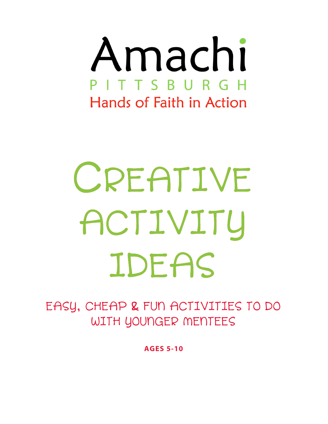

# CREATIVE ACTIVITY IDEAS

EASY, CHEAP & FUN ACTIVITIES TO DO WITH YOUNGER MENTEES

**AGES 5-10**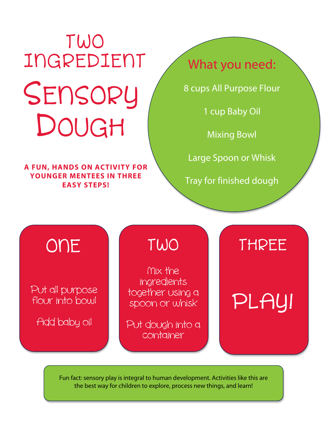## SENSORY DOUGH TWO INGREDIENT What you need:

**A FUN, HANDS ON ACTIVITY FOR YOUNGER MENTEES IN THREE EASY STEPS!**

8 cups All Purpose Flour

1 cup Baby Oil

Mixing Bowl

Large Spoon or Whisk

Tray for finished dough

## flour into bowl

Add baby oil

Put all purpose together using a pLAY! Nix the ingredients together using a spoon or whisk

> Put dough into a container

## ONE TWO THREE

Fun fact: sensory play is integral to human development. Activities like this are the best way for children to explore, process new things, and learn!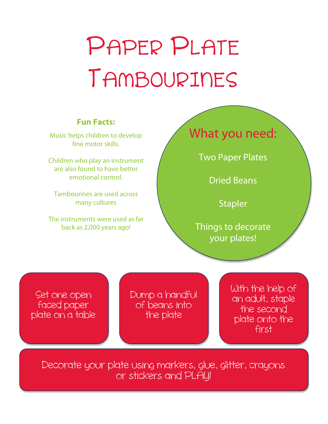## PAPER PLATE TANBOURINES

### **Fun Facts:**

Music helps children to develop fine motor skills.

Children who play an instrument are also found to have better emotional control.

Tambourines are used across many cultures

The instruments were used as far back as 2,000 years ago!

### What you need:

Two Paper Plates

Dried Beans

**Stapler** 

Things to decorate your plates!

Set one open faced paper plate on a table Dump a handful of beans into the plate

With the help of an adult, staple the second plate onto the first

Decorate your plate using markers, glue, glitter, crayons or stickers and PLAY!